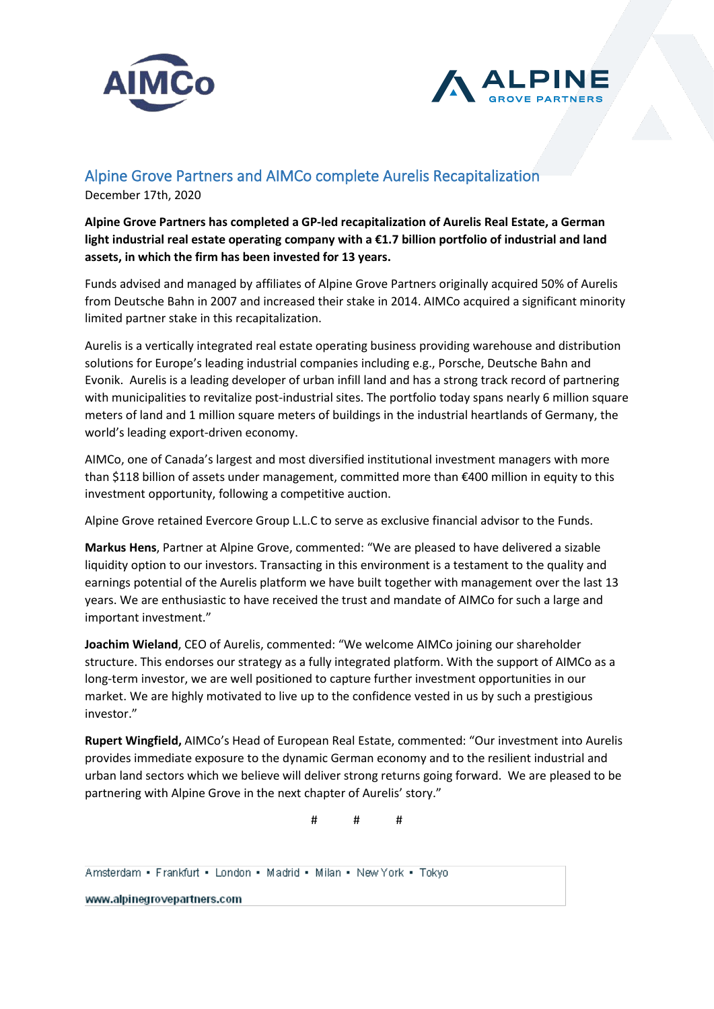



## Alpine Grove Partners and AIMCo complete Aurelis Recapitalization

December 17th, 2020

**Alpine Grove Partners has completed a GP-led recapitalization of Aurelis Real Estate, a German light industrial real estate operating company with a €1.7 billion portfolio of industrial and land assets, in which the firm has been invested for 13 years.** 

Funds advised and managed by affiliates of Alpine Grove Partners originally acquired 50% of Aurelis from Deutsche Bahn in 2007 and increased their stake in 2014. AIMCo acquired a significant minority limited partner stake in this recapitalization.

Aurelis is a vertically integrated real estate operating business providing warehouse and distribution solutions for Europe's leading industrial companies including e.g., Porsche, Deutsche Bahn and Evonik. Aurelis is a leading developer of urban infill land and has a strong track record of partnering with municipalities to revitalize post-industrial sites. The portfolio today spans nearly 6 million square meters of land and 1 million square meters of buildings in the industrial heartlands of Germany, the world's leading export-driven economy.

AIMCo, one of Canada's largest and most diversified institutional investment managers with more than \$118 billion of assets under management, committed more than €400 million in equity to this investment opportunity, following a competitive auction.

Alpine Grove retained Evercore Group L.L.C to serve as exclusive financial advisor to the Funds.

**Markus Hens**, Partner at Alpine Grove, commented: "We are pleased to have delivered a sizable liquidity option to our investors. Transacting in this environment is a testament to the quality and earnings potential of the Aurelis platform we have built together with management over the last 13 years. We are enthusiastic to have received the trust and mandate of AIMCo for such a large and important investment."

**Joachim Wieland**, CEO of Aurelis, commented: "We welcome AIMCo joining our shareholder structure. This endorses our strategy as a fully integrated platform. With the support of AIMCo as a long-term investor, we are well positioned to capture further investment opportunities in our market. We are highly motivated to live up to the confidence vested in us by such a prestigious investor."

**Rupert Wingfield,** AIMCo's Head of European Real Estate, commented: "Our investment into Aurelis provides immediate exposure to the dynamic German economy and to the resilient industrial and urban land sectors which we believe will deliver strong returns going forward. We are pleased to be partnering with Alpine Grove in the next chapter of Aurelis' story."

# # #

Amsterdam - Frankfurt - London - Madrid - Milan - New York - Tokyo